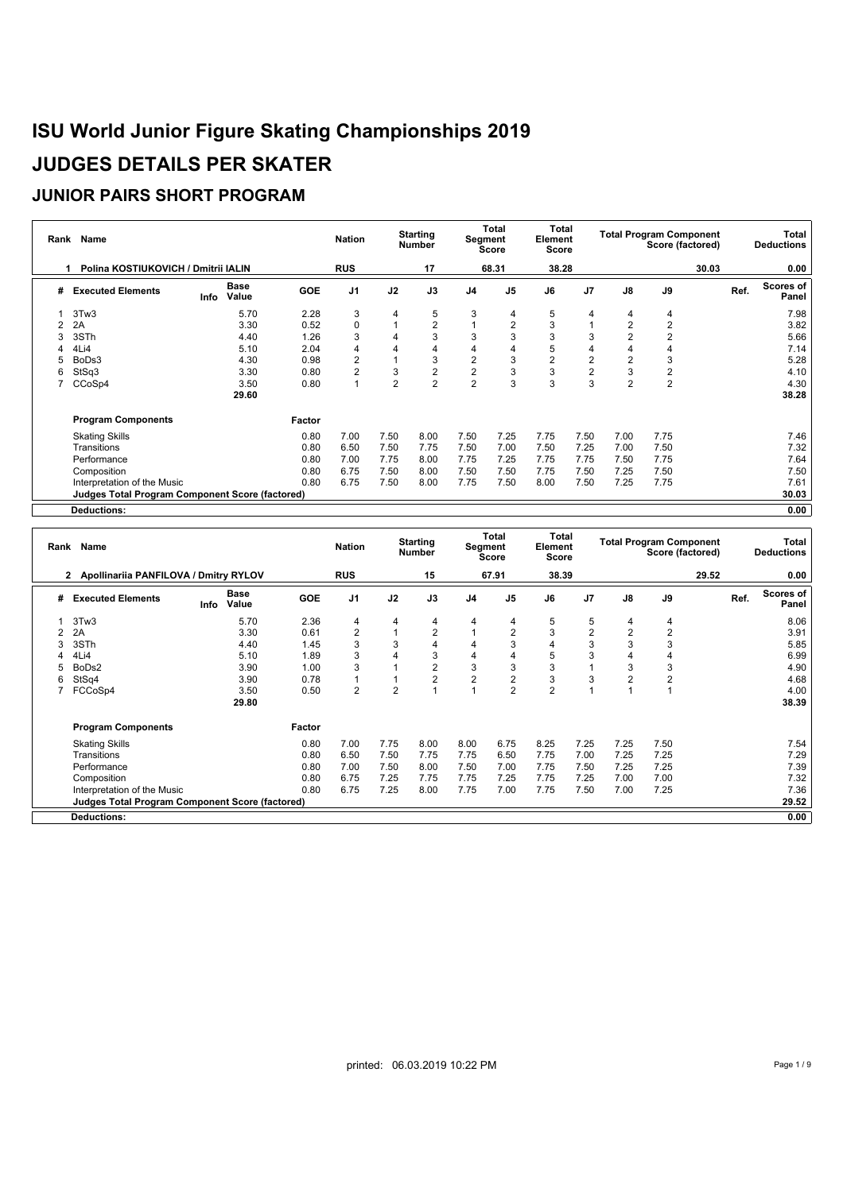|   | Rank Name                                              |                              |            | <b>Nation</b>  |                | <b>Starting</b><br>Number |                         | Total<br>Segment<br><b>Score</b> | Total<br>Element<br><b>Score</b> |                |                | <b>Total Program Component</b><br>Score (factored) |       |      | Total<br><b>Deductions</b> |
|---|--------------------------------------------------------|------------------------------|------------|----------------|----------------|---------------------------|-------------------------|----------------------------------|----------------------------------|----------------|----------------|----------------------------------------------------|-------|------|----------------------------|
|   | Polina KOSTIUKOVICH / Dmitrii IALIN                    |                              |            | <b>RUS</b>     |                | 17                        |                         | 68.31                            | 38.28                            |                |                |                                                    | 30.03 |      | 0.00                       |
| # | <b>Executed Elements</b>                               | <b>Base</b><br>Value<br>Info | <b>GOE</b> | J <sub>1</sub> | J2             | J3                        | J <sub>4</sub>          | J <sub>5</sub>                   | J6                               | J <sub>7</sub> | $\mathsf{J}8$  | J9                                                 |       | Ref. | Scores of<br>Panel         |
|   | 3Tw3                                                   | 5.70                         | 2.28       | 3              | 4              | 5                         | 3                       | 4                                | 5                                | 4              | 4              | 4                                                  |       |      | 7.98                       |
|   | 2A                                                     | 3.30                         | 0.52       | $\Omega$       |                | $\overline{2}$            |                         | $\overline{2}$                   | 3                                |                | $\overline{2}$ | $\overline{2}$                                     |       |      | 3.82                       |
| 3 | 3STh                                                   | 4.40                         | 1.26       | 3              | 4              | 3                         | 3                       | 3                                | 3                                | 3              |                | $\overline{2}$                                     |       |      | 5.66                       |
| 4 | 4Li4                                                   | 5.10                         | 2.04       | 4              | 4              | 4                         | 4                       | 4                                | 5                                | 4              |                |                                                    |       |      | 7.14                       |
| 5 | BoDs3                                                  | 4.30                         | 0.98       | $\overline{2}$ |                | 3                         | $\overline{\mathbf{c}}$ | 3                                | $\overline{2}$                   | $\overline{c}$ | $\overline{2}$ | 3                                                  |       |      | 5.28                       |
| 6 | StSq3                                                  | 3.30                         | 0.80       | $\overline{2}$ | 3              | $\overline{c}$            | $\overline{\mathbf{c}}$ | 3                                | 3                                | $\overline{c}$ | 3              | $\overline{\mathbf{c}}$                            |       |      | 4.10                       |
|   | CCoSp4                                                 | 3.50                         | 0.80       |                | $\overline{2}$ | $\overline{2}$            | $\overline{2}$          | 3                                | 3                                | 3              | $\overline{2}$ | $\overline{2}$                                     |       |      | 4.30                       |
|   |                                                        | 29.60                        |            |                |                |                           |                         |                                  |                                  |                |                |                                                    |       |      | 38.28                      |
|   | <b>Program Components</b>                              |                              | Factor     |                |                |                           |                         |                                  |                                  |                |                |                                                    |       |      |                            |
|   | <b>Skating Skills</b>                                  |                              | 0.80       | 7.00           | 7.50           | 8.00                      | 7.50                    | 7.25                             | 7.75                             | 7.50           | 7.00           | 7.75                                               |       |      | 7.46                       |
|   | Transitions                                            |                              | 0.80       | 6.50           | 7.50           | 7.75                      | 7.50                    | 7.00                             | 7.50                             | 7.25           | 7.00           | 7.50                                               |       |      | 7.32                       |
|   | Performance                                            |                              | 0.80       | 7.00           | 7.75           | 8.00                      | 7.75                    | 7.25                             | 7.75                             | 7.75           | 7.50           | 7.75                                               |       |      | 7.64                       |
|   | Composition                                            |                              | 0.80       | 6.75           | 7.50           | 8.00                      | 7.50                    | 7.50                             | 7.75                             | 7.50           | 7.25           | 7.50                                               |       |      | 7.50                       |
|   | Interpretation of the Music                            |                              | 0.80       | 6.75           | 7.50           | 8.00                      | 7.75                    | 7.50                             | 8.00                             | 7.50           | 7.25           | 7.75                                               |       |      | 7.61                       |
|   | <b>Judges Total Program Component Score (factored)</b> |                              |            |                |                |                           |                         |                                  |                                  |                |                |                                                    |       |      | 30.03                      |
|   | <b>Deductions:</b>                                     |                              |            |                |                |                           |                         |                                  |                                  |                |                |                                                    |       |      | 0.00                       |

|   | Rank Name                                       |                              |              | <b>Nation</b>  |                | <b>Starting</b><br><b>Number</b> |                | <b>Total</b><br>Segment<br><b>Score</b> | Total<br>Element<br><b>Score</b> |                |                | <b>Total Program Component</b> | Score (factored) |      | Total<br><b>Deductions</b> |
|---|-------------------------------------------------|------------------------------|--------------|----------------|----------------|----------------------------------|----------------|-----------------------------------------|----------------------------------|----------------|----------------|--------------------------------|------------------|------|----------------------------|
|   | Apollinariia PANFILOVA / Dmitry RYLOV<br>2.     |                              |              | <b>RUS</b>     |                | 15                               |                | 67.91                                   | 38.39                            |                |                |                                | 29.52            |      | 0.00                       |
| # | <b>Executed Elements</b>                        | <b>Base</b><br>Value<br>Info | <b>GOE</b>   | J1             | J2             | J3                               | J <sub>4</sub> | J5                                      | J6                               | J <sub>7</sub> | $\mathsf{J}8$  | J9                             |                  | Ref. | Scores of<br>Panel         |
|   | 3Tw3                                            |                              | 5.70<br>2.36 | 4              | 4              | 4                                | 4              | 4                                       | 5                                | 5              | 4              | 4                              |                  |      | 8.06                       |
|   | 2A                                              |                              | 3.30<br>0.61 | $\overline{2}$ |                | $\overline{2}$                   |                | $\overline{2}$                          | 3                                | $\overline{2}$ | $\overline{2}$ | $\overline{2}$                 |                  |      | 3.91                       |
|   | 3STh                                            |                              | 4.40<br>1.45 | 3              | 3              | 4                                | 4              | 3                                       | 4                                | 3              | 3              | 3                              |                  |      | 5.85                       |
|   | 4Li4                                            |                              | 5.10<br>1.89 | 3              |                | 3                                | 4              | 4                                       | 5                                | 3              |                |                                |                  |      | 6.99                       |
|   | BoDs2                                           |                              | 3.90<br>1.00 | 3              |                | $\overline{2}$                   | 3              | 3                                       | 3                                |                | 3              | 3                              |                  |      | 4.90                       |
|   | StSq4                                           |                              | 3.90<br>0.78 |                |                | $\overline{2}$                   | $\overline{2}$ | $\mathbf 2$                             | 3                                | 3              |                | $\overline{2}$                 |                  |      | 4.68                       |
|   | FCCoSp4                                         |                              | 3.50<br>0.50 | $\overline{2}$ | $\overline{2}$ |                                  |                | $\overline{2}$                          | 2                                |                |                |                                |                  |      | 4.00                       |
|   |                                                 |                              | 29.80        |                |                |                                  |                |                                         |                                  |                |                |                                |                  |      | 38.39                      |
|   | <b>Program Components</b>                       |                              | Factor       |                |                |                                  |                |                                         |                                  |                |                |                                |                  |      |                            |
|   | <b>Skating Skills</b>                           |                              | 0.80         | 7.00           | 7.75           | 8.00                             | 8.00           | 6.75                                    | 8.25                             | 7.25           | 7.25           | 7.50                           |                  |      | 7.54                       |
|   | Transitions                                     |                              | 0.80         | 6.50           | 7.50           | 7.75                             | 7.75           | 6.50                                    | 7.75                             | 7.00           | 7.25           | 7.25                           |                  |      | 7.29                       |
|   | Performance                                     |                              | 0.80         | 7.00           | 7.50           | 8.00                             | 7.50           | 7.00                                    | 7.75                             | 7.50           | 7.25           | 7.25                           |                  |      | 7.39                       |
|   | Composition                                     |                              | 0.80         | 6.75           | 7.25           | 7.75                             | 7.75           | 7.25                                    | 7.75                             | 7.25           | 7.00           | 7.00                           |                  |      | 7.32                       |
|   | Interpretation of the Music                     |                              | 0.80         | 6.75           | 7.25           | 8.00                             | 7.75           | 7.00                                    | 7.75                             | 7.50           | 7.00           | 7.25                           |                  |      | 7.36                       |
|   | Judges Total Program Component Score (factored) |                              |              |                |                |                                  |                |                                         |                                  |                |                |                                |                  |      | 29.52                      |
|   | <b>Deductions:</b>                              |                              |              |                |                |                                  |                |                                         |                                  |                |                |                                |                  |      | 0.00                       |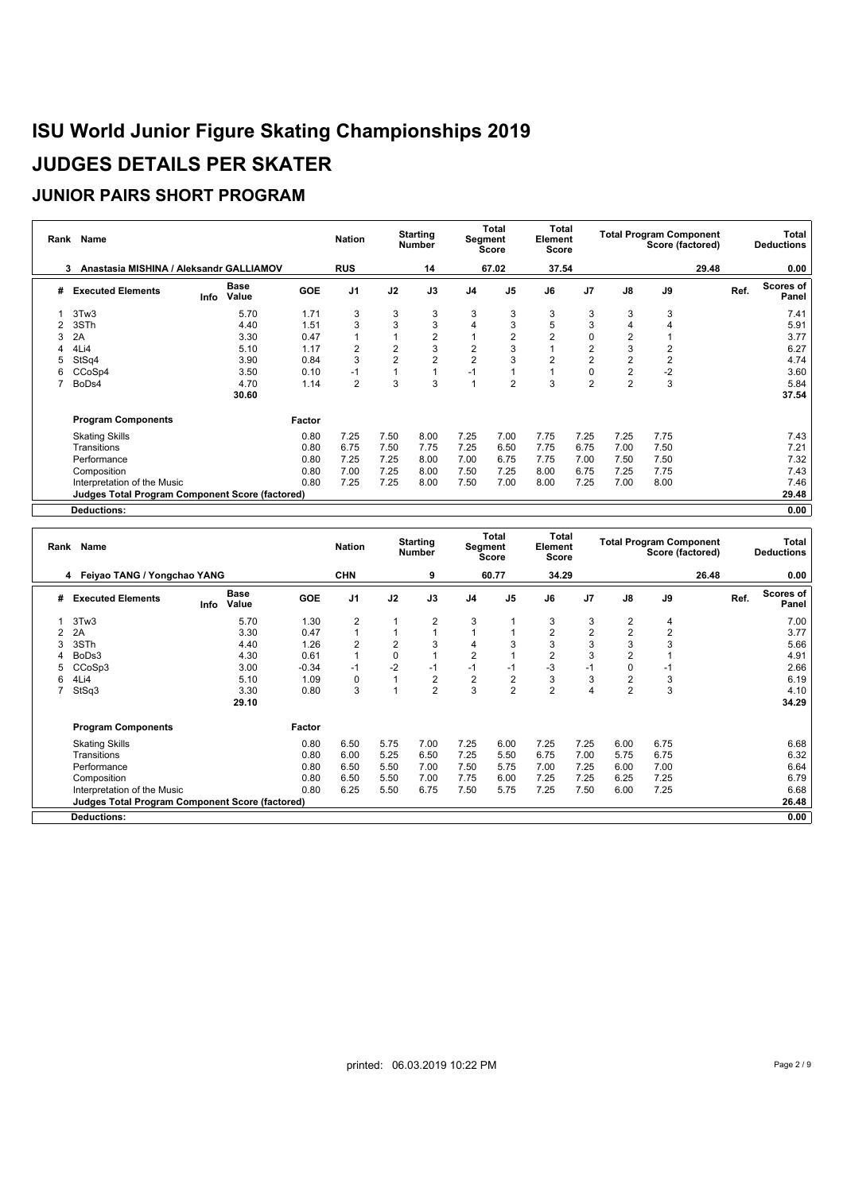|   | Rank Name                                              |                              |            | <b>Nation</b>  |                | <b>Starting</b><br><b>Number</b> |                | Total<br><b>Segment</b><br><b>Score</b> | Total<br>Element<br><b>Score</b> |                |                | <b>Total Program Component</b><br>Score (factored) |       | Total<br><b>Deductions</b> |
|---|--------------------------------------------------------|------------------------------|------------|----------------|----------------|----------------------------------|----------------|-----------------------------------------|----------------------------------|----------------|----------------|----------------------------------------------------|-------|----------------------------|
|   | Anastasia MISHINA / Aleksandr GALLIAMOV<br>з.          |                              |            | <b>RUS</b>     |                | 14                               |                | 67.02                                   | 37.54                            |                |                |                                                    | 29.48 | 0.00                       |
| # | <b>Executed Elements</b>                               | <b>Base</b><br>Value<br>Info | <b>GOE</b> | J <sub>1</sub> | J2             | J3                               | J <sub>4</sub> | J <sub>5</sub>                          | J6                               | J <sub>7</sub> | J8             | J9                                                 |       | Scores of<br>Ref.<br>Panel |
|   | 3Tw3                                                   | 5.70                         | 1.71       | 3              | 3              | 3                                | 3              | 3                                       | 3                                | 3              | 3              | 3                                                  |       | 7.41                       |
|   | 3STh                                                   | 4.40                         | 1.51       | 3              | 3              | 3                                | 4              | 3                                       | 5                                | 3              |                |                                                    |       | 5.91                       |
| 3 | 2A                                                     | 3.30                         | 0.47       |                |                | $\overline{2}$                   |                | $\overline{c}$                          | $\overline{2}$                   | 0              |                |                                                    |       | 3.77                       |
| 4 | 4Li4                                                   | 5.10                         | 1.17       | $\overline{2}$ | 2              | 3                                | $\overline{2}$ | 3                                       |                                  | $\overline{2}$ | 3              | $\overline{2}$                                     |       | 6.27                       |
| 5 | StSq4                                                  | 3.90                         | 0.84       | 3              | $\overline{2}$ | $\overline{2}$                   | $\overline{2}$ | 3                                       | $\overline{2}$                   | $\overline{2}$ | $\overline{2}$ | $\overline{2}$                                     |       | 4.74                       |
| 6 | CCoSp4                                                 | 3.50                         | 0.10       | -1             |                |                                  | $-1$           |                                         |                                  | $\pmb{0}$      | $\overline{2}$ | $-2$                                               |       | 3.60                       |
|   | BoDs4                                                  | 4.70                         | 1.14       | $\overline{2}$ | 3              | 3                                |                | $\overline{2}$                          | 3                                | $\overline{2}$ | $\overline{2}$ | 3                                                  |       | 5.84                       |
|   |                                                        | 30.60                        |            |                |                |                                  |                |                                         |                                  |                |                |                                                    |       | 37.54                      |
|   | <b>Program Components</b>                              |                              | Factor     |                |                |                                  |                |                                         |                                  |                |                |                                                    |       |                            |
|   | <b>Skating Skills</b>                                  |                              | 0.80       | 7.25           | 7.50           | 8.00                             | 7.25           | 7.00                                    | 7.75                             | 7.25           | 7.25           | 7.75                                               |       | 7.43                       |
|   | Transitions                                            |                              | 0.80       | 6.75           | 7.50           | 7.75                             | 7.25           | 6.50                                    | 7.75                             | 6.75           | 7.00           | 7.50                                               |       | 7.21                       |
|   | Performance                                            |                              | 0.80       | 7.25           | 7.25           | 8.00                             | 7.00           | 6.75                                    | 7.75                             | 7.00           | 7.50           | 7.50                                               |       | 7.32                       |
|   | Composition                                            |                              | 0.80       | 7.00           | 7.25           | 8.00                             | 7.50           | 7.25                                    | 8.00                             | 6.75           | 7.25           | 7.75                                               |       | 7.43                       |
|   | Interpretation of the Music                            |                              | 0.80       | 7.25           | 7.25           | 8.00                             | 7.50           | 7.00                                    | 8.00                             | 7.25           | 7.00           | 8.00                                               |       | 7.46                       |
|   | <b>Judges Total Program Component Score (factored)</b> |                              |            |                |                |                                  |                |                                         |                                  |                |                |                                                    |       | 29.48                      |
|   | <b>Deductions:</b>                                     |                              |            |                |                |                                  |                |                                         |                                  |                |                |                                                    |       | 0.00                       |

| Rank | Name                                            |      |                      |            | <b>Nation</b>  |             | <b>Starting</b><br><b>Number</b> |                | Total<br>Segment<br><b>Score</b> | Total<br>Element<br><b>Score</b> |                |                | <b>Total Program Component</b> | Score (factored) |      | Total<br><b>Deductions</b> |
|------|-------------------------------------------------|------|----------------------|------------|----------------|-------------|----------------------------------|----------------|----------------------------------|----------------------------------|----------------|----------------|--------------------------------|------------------|------|----------------------------|
|      | 4 Feiyao TANG / Yongchao YANG                   |      |                      |            | <b>CHN</b>     |             | 9                                |                | 60.77                            | 34.29                            |                |                |                                | 26.48            |      | 0.00                       |
| #    | <b>Executed Elements</b>                        | Info | <b>Base</b><br>Value | <b>GOE</b> | J <sub>1</sub> | J2          | J3                               | J <sub>4</sub> | J <sub>5</sub>                   | J6                               | J7             | $\mathsf{J}8$  | J9                             |                  | Ref. | Scores of<br>Panel         |
|      | 3Tw3                                            |      | 5.70                 | 1.30       | 2              |             | $\overline{2}$                   | 3              | 1                                | 3                                | 3              | 2              | 4                              |                  |      | 7.00                       |
|      | 2A                                              |      | 3.30                 | 0.47       |                |             |                                  |                |                                  | $\overline{2}$                   | $\overline{2}$ | $\overline{2}$ | $\overline{2}$                 |                  |      | 3.77                       |
|      | 3STh                                            |      | 4.40                 | 1.26       | $\overline{2}$ | 2           | 3                                | $\overline{4}$ | 3                                | 3                                | 3              | 3              | 3                              |                  |      | 5.66                       |
|      | BoDs3                                           |      | 4.30                 | 0.61       |                | $\mathbf 0$ |                                  | 2              |                                  | $\overline{2}$                   | 3              |                |                                |                  |      | 4.91                       |
|      | CCoSp3                                          |      | 3.00                 | $-0.34$    | -1             | $-2$        | $-1$                             | $-1$           | $-1$                             | $-3$                             | $-1$           | $\Omega$       | $-1$                           |                  |      | 2.66                       |
| 6    | 4Li4                                            |      | 5.10                 | 1.09       | 0              |             | $\overline{2}$                   | $\overline{2}$ | $\overline{2}$                   | 3                                | 3              | 2              | 3                              |                  |      | 6.19                       |
|      | StSq3                                           |      | 3.30                 | 0.80       | 3              |             | $\overline{2}$                   | 3              | $\overline{2}$                   | 2                                | $\overline{4}$ | $\overline{2}$ | 3                              |                  |      | 4.10                       |
|      |                                                 |      | 29.10                |            |                |             |                                  |                |                                  |                                  |                |                |                                |                  |      | 34.29                      |
|      | <b>Program Components</b>                       |      |                      | Factor     |                |             |                                  |                |                                  |                                  |                |                |                                |                  |      |                            |
|      | <b>Skating Skills</b>                           |      |                      | 0.80       | 6.50           | 5.75        | 7.00                             | 7.25           | 6.00                             | 7.25                             | 7.25           | 6.00           | 6.75                           |                  |      | 6.68                       |
|      | Transitions                                     |      |                      | 0.80       | 6.00           | 5.25        | 6.50                             | 7.25           | 5.50                             | 6.75                             | 7.00           | 5.75           | 6.75                           |                  |      | 6.32                       |
|      | Performance                                     |      |                      | 0.80       | 6.50           | 5.50        | 7.00                             | 7.50           | 5.75                             | 7.00                             | 7.25           | 6.00           | 7.00                           |                  |      | 6.64                       |
|      | Composition                                     |      |                      | 0.80       | 6.50           | 5.50        | 7.00                             | 7.75           | 6.00                             | 7.25                             | 7.25           | 6.25           | 7.25                           |                  |      | 6.79                       |
|      | Interpretation of the Music                     |      |                      | 0.80       | 6.25           | 5.50        | 6.75                             | 7.50           | 5.75                             | 7.25                             | 7.50           | 6.00           | 7.25                           |                  |      | 6.68                       |
|      | Judges Total Program Component Score (factored) |      |                      |            |                |             |                                  |                |                                  |                                  |                |                |                                |                  |      | 26.48                      |
|      | <b>Deductions:</b>                              |      |                      |            |                |             |                                  |                |                                  |                                  |                |                |                                |                  |      | 0.00                       |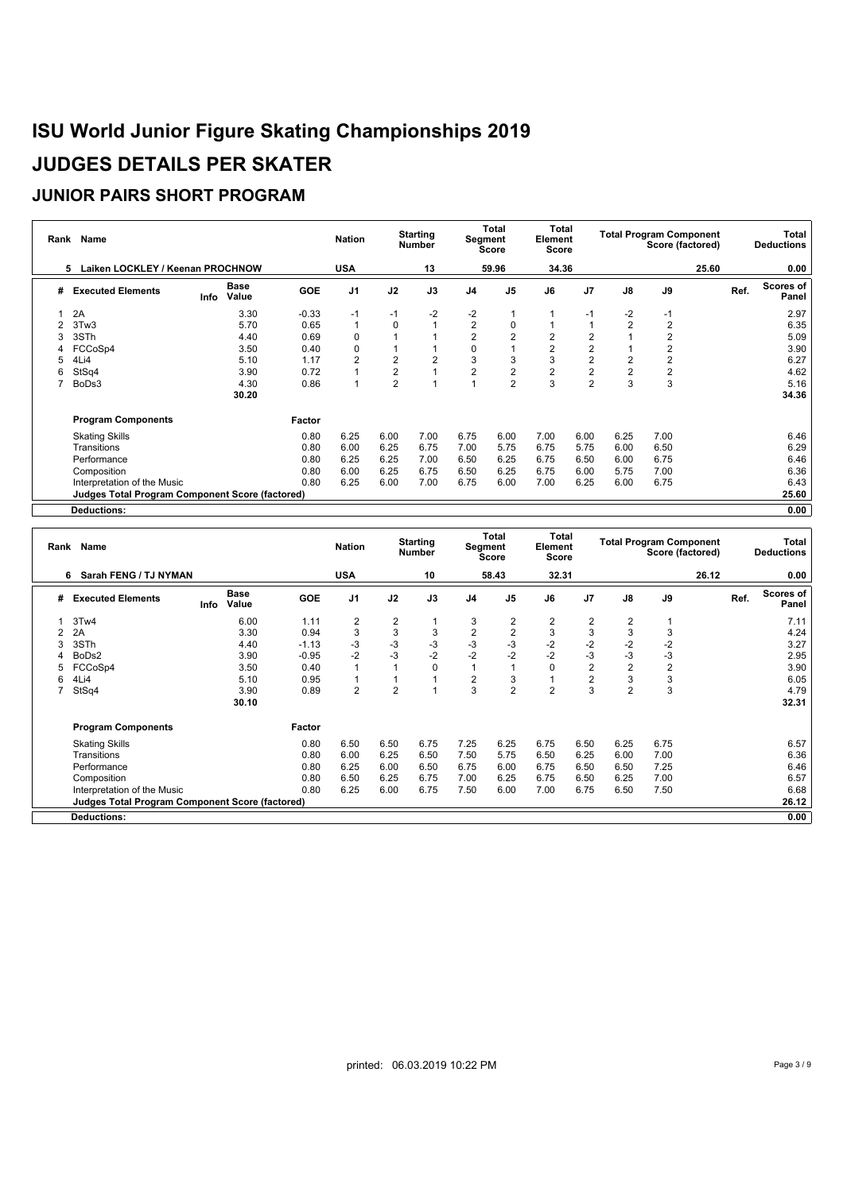| Rank | Name                                                   |                              |            | <b>Nation</b>  |                | <b>Starting</b><br><b>Number</b> | Segment        | Total<br><b>Score</b> | Total<br>Element<br><b>Score</b> |                |                | <b>Total Program Component</b><br>Score (factored) |       |      | Total<br><b>Deductions</b> |
|------|--------------------------------------------------------|------------------------------|------------|----------------|----------------|----------------------------------|----------------|-----------------------|----------------------------------|----------------|----------------|----------------------------------------------------|-------|------|----------------------------|
|      | Laiken LOCKLEY / Keenan PROCHNOW<br>5                  |                              |            | <b>USA</b>     |                | 13                               |                | 59.96                 | 34.36                            |                |                |                                                    | 25.60 |      | 0.00                       |
| #    | <b>Executed Elements</b>                               | <b>Base</b><br>Value<br>Info | <b>GOE</b> | J <sub>1</sub> | J2             | J3                               | J <sub>4</sub> | J <sub>5</sub>        | J6                               | J <sub>7</sub> | $\mathsf{J}8$  | J9                                                 |       | Ref. | <b>Scores of</b><br>Panel  |
|      | 2A                                                     | 3.30                         | $-0.33$    | $-1$           | $-1$           | $-2$                             | $-2$           |                       |                                  | $-1$           | $-2$           | $-1$                                               |       |      | 2.97                       |
|      | 3Tw3                                                   | 5.70                         | 0.65       |                | $\Omega$       |                                  | 2              | 0                     |                                  |                | $\overline{2}$ | $\overline{2}$                                     |       |      | 6.35                       |
| 3    | 3STh                                                   | 4.40                         | 0.69       | $\Omega$       |                |                                  | 2              | $\overline{2}$        | $\overline{2}$                   | $\overline{2}$ |                | $\overline{2}$                                     |       |      | 5.09                       |
| 4    | FCCoSp4                                                | 3.50                         | 0.40       | 0              |                |                                  | 0              |                       | $\overline{2}$                   | $\overline{c}$ |                | $\overline{2}$                                     |       |      | 3.90                       |
|      | 4Li4                                                   | 5.10                         | 1.17       | 2              | $\overline{2}$ | $\overline{2}$                   | 3              | 3                     | 3                                | $\overline{c}$ |                | $\overline{2}$                                     |       |      | 6.27                       |
| 6    | StSq4                                                  | 3.90                         | 0.72       |                | $\overline{2}$ |                                  | 2              | $\sqrt{2}$            | $\overline{c}$                   | $\overline{c}$ |                | $\overline{2}$                                     |       |      | 4.62                       |
|      | BoDs3                                                  | 4.30                         | 0.86       |                | $\overline{2}$ |                                  |                | $\overline{2}$        | 3                                | $\overline{2}$ | 3              | 3                                                  |       |      | 5.16                       |
|      |                                                        | 30.20                        |            |                |                |                                  |                |                       |                                  |                |                |                                                    |       |      | 34.36                      |
|      | <b>Program Components</b>                              |                              | Factor     |                |                |                                  |                |                       |                                  |                |                |                                                    |       |      |                            |
|      | <b>Skating Skills</b>                                  |                              | 0.80       | 6.25           | 6.00           | 7.00                             | 6.75           | 6.00                  | 7.00                             | 6.00           | 6.25           | 7.00                                               |       |      | 6.46                       |
|      | Transitions                                            |                              | 0.80       | 6.00           | 6.25           | 6.75                             | 7.00           | 5.75                  | 6.75                             | 5.75           | 6.00           | 6.50                                               |       |      | 6.29                       |
|      | Performance                                            |                              | 0.80       | 6.25           | 6.25           | 7.00                             | 6.50           | 6.25                  | 6.75                             | 6.50           | 6.00           | 6.75                                               |       |      | 6.46                       |
|      | Composition                                            |                              | 0.80       | 6.00           | 6.25           | 6.75                             | 6.50           | 6.25                  | 6.75                             | 6.00           | 5.75           | 7.00                                               |       |      | 6.36                       |
|      | Interpretation of the Music                            |                              | 0.80       | 6.25           | 6.00           | 7.00                             | 6.75           | 6.00                  | 7.00                             | 6.25           | 6.00           | 6.75                                               |       |      | 6.43                       |
|      | <b>Judges Total Program Component Score (factored)</b> |                              |            |                |                |                                  |                |                       |                                  |                |                |                                                    |       |      | 25.60                      |
|      | <b>Deductions:</b>                                     |                              |            |                |                |                                  |                |                       |                                  |                |                |                                                    |       |      | 0.00                       |

|   | Rank Name                                              |      |                      |            | <b>Nation</b>  |                | <b>Starting</b><br><b>Number</b> |                | <b>Total</b><br>Segment<br><b>Score</b> | Total<br>Element<br><b>Score</b> |                         |                | <b>Total Program Component</b><br>Score (factored) |       |      | Total<br><b>Deductions</b> |
|---|--------------------------------------------------------|------|----------------------|------------|----------------|----------------|----------------------------------|----------------|-----------------------------------------|----------------------------------|-------------------------|----------------|----------------------------------------------------|-------|------|----------------------------|
|   | Sarah FENG / TJ NYMAN<br>6                             |      |                      |            | <b>USA</b>     |                | 10                               |                | 58.43                                   | 32.31                            |                         |                |                                                    | 26.12 |      | 0.00                       |
| # | <b>Executed Elements</b>                               | Info | <b>Base</b><br>Value | <b>GOE</b> | J <sub>1</sub> | J2             | J3                               | J <sub>4</sub> | J <sub>5</sub>                          | J6                               | J7                      | J8             | J9                                                 |       | Ref. | Scores of<br>Panel         |
|   | 3Tw4                                                   |      | 6.00                 | 1.11       | 2              | 2              | $\mathbf 1$                      | 3              | $\overline{c}$                          | $\overline{2}$                   | $\overline{\mathbf{c}}$ | 2              |                                                    |       |      | 7.11                       |
|   | 2A                                                     |      | 3.30                 | 0.94       | 3              | 3              | 3                                | $\overline{2}$ | $\overline{c}$                          | 3                                | $\mathbf{3}$            | 3              | 3                                                  |       |      | 4.24                       |
| 3 | 3STh                                                   |      | 4.40                 | $-1.13$    | $-3$           | $-3$           | $-3$                             | $-3$           | $-3$                                    | $-2$                             | $-2$                    | $-2$           | $-2$                                               |       |      | 3.27                       |
|   | BoDs2                                                  |      | 3.90                 | $-0.95$    | $-2$           | $-3$           | $-2$                             | $-2$           | $-2$                                    | $-2$                             | $-3$                    | $-3$           | $-3$                                               |       |      | 2.95                       |
| 5 | FCCoSp4                                                |      | 3.50                 | 0.40       |                |                | $\mathbf 0$                      | 1              | $\overline{1}$                          | $\Omega$                         | $\overline{2}$          | 2              | $\overline{2}$                                     |       |      | 3.90                       |
| 6 | 4Li4                                                   |      | 5.10                 | 0.95       |                |                | $\overline{A}$                   | $\overline{2}$ | 3                                       |                                  | $\overline{\mathbf{c}}$ | 3              | 3                                                  |       |      | 6.05                       |
|   | StSq4                                                  |      | 3.90                 | 0.89       | $\overline{2}$ | $\overline{2}$ | $\overline{ }$                   | 3              | $\overline{2}$                          | $\overline{2}$                   | 3                       | $\overline{2}$ | 3                                                  |       |      | 4.79                       |
|   |                                                        |      | 30.10                |            |                |                |                                  |                |                                         |                                  |                         |                |                                                    |       |      | 32.31                      |
|   | <b>Program Components</b>                              |      |                      | Factor     |                |                |                                  |                |                                         |                                  |                         |                |                                                    |       |      |                            |
|   | <b>Skating Skills</b>                                  |      |                      | 0.80       | 6.50           | 6.50           | 6.75                             | 7.25           | 6.25                                    | 6.75                             | 6.50                    | 6.25           | 6.75                                               |       |      | 6.57                       |
|   | Transitions                                            |      |                      | 0.80       | 6.00           | 6.25           | 6.50                             | 7.50           | 5.75                                    | 6.50                             | 6.25                    | 6.00           | 7.00                                               |       |      | 6.36                       |
|   | Performance                                            |      |                      | 0.80       | 6.25           | 6.00           | 6.50                             | 6.75           | 6.00                                    | 6.75                             | 6.50                    | 6.50           | 7.25                                               |       |      | 6.46                       |
|   | Composition                                            |      |                      | 0.80       | 6.50           | 6.25           | 6.75                             | 7.00           | 6.25                                    | 6.75                             | 6.50                    | 6.25           | 7.00                                               |       |      | 6.57                       |
|   | Interpretation of the Music                            |      |                      | 0.80       | 6.25           | 6.00           | 6.75                             | 7.50           | 6.00                                    | 7.00                             | 6.75                    | 6.50           | 7.50                                               |       |      | 6.68                       |
|   | <b>Judges Total Program Component Score (factored)</b> |      |                      |            |                |                |                                  |                |                                         |                                  |                         |                |                                                    |       |      | 26.12                      |
|   | <b>Deductions:</b>                                     |      |                      |            |                |                |                                  |                |                                         |                                  |                         |                |                                                    |       |      | 0.00                       |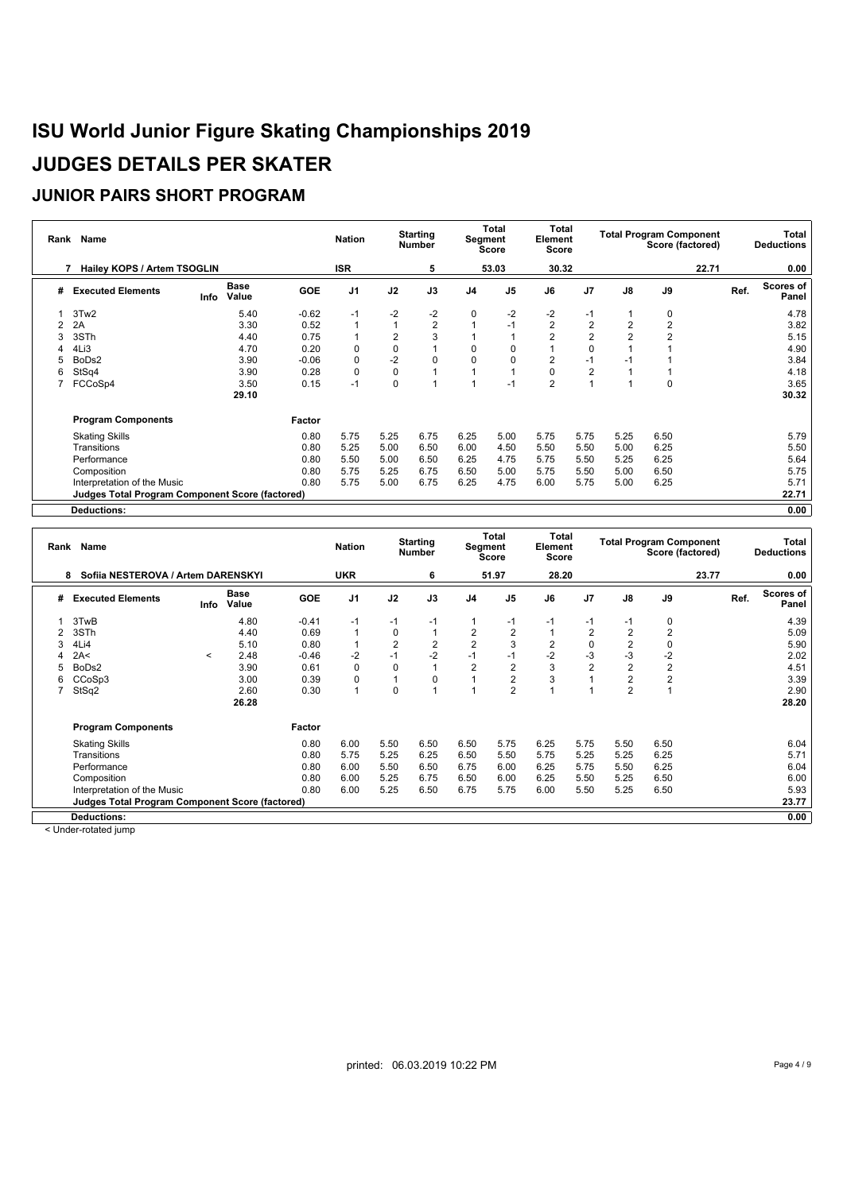### **JUNIOR PAIRS SHORT PROGRAM**

| Rank | Name                                                   |      |                      |            | <b>Nation</b>  |                | <b>Starting</b><br><b>Number</b> |                | Total<br>Segment<br><b>Score</b> | Total<br>Element<br><b>Score</b> |                |               | <b>Total Program Component</b><br>Score (factored) |       |      | Total<br><b>Deductions</b> |
|------|--------------------------------------------------------|------|----------------------|------------|----------------|----------------|----------------------------------|----------------|----------------------------------|----------------------------------|----------------|---------------|----------------------------------------------------|-------|------|----------------------------|
|      | Hailey KOPS / Artem TSOGLIN                            |      |                      |            | <b>ISR</b>     |                | 5                                |                | 53.03                            | 30.32                            |                |               |                                                    | 22.71 |      | 0.00                       |
| #    | <b>Executed Elements</b>                               | Info | <b>Base</b><br>Value | <b>GOE</b> | J <sub>1</sub> | J2             | J3                               | J <sub>4</sub> | J <sub>5</sub>                   | J6                               | J <sub>7</sub> | $\mathsf{J}8$ | J9                                                 |       | Ref. | <b>Scores of</b><br>Panel  |
|      | 3Tw2                                                   |      | 5.40                 | $-0.62$    | $-1$           | $-2$           | $-2$                             | 0              | $-2$                             | $-2$                             | $-1$           |               | 0                                                  |       |      | 4.78                       |
|      | 2A                                                     |      | 3.30                 | 0.52       |                |                | $\overline{2}$                   |                | $-1$                             | $\overline{2}$                   | $\overline{2}$ | 2             | $\overline{2}$                                     |       |      | 3.82                       |
| 3    | 3STh                                                   |      | 4.40                 | 0.75       |                | $\overline{2}$ | 3                                |                |                                  | $\overline{2}$                   | $\overline{2}$ |               | $\overline{2}$                                     |       |      | 5.15                       |
| 4    | 4Li3                                                   |      | 4.70                 | 0.20       | $\Omega$       | 0              |                                  | 0              | 0                                |                                  | 0              |               |                                                    |       |      | 4.90                       |
|      | BoDs2                                                  |      | 3.90                 | $-0.06$    | $\Omega$       | $-2$           | $\mathbf 0$                      | $\mathbf 0$    | 0                                | $\overline{2}$                   | $-1$           |               |                                                    |       |      | 3.84                       |
| 6    | StSq4                                                  |      | 3.90                 | 0.28       | $\mathbf 0$    | 0              |                                  |                |                                  | 0                                | $\overline{2}$ |               |                                                    |       |      | 4.18                       |
|      | FCCoSp4                                                |      | 3.50                 | 0.15       | $-1$           | 0              |                                  |                | $-1$                             | $\overline{2}$                   | $\overline{A}$ |               | 0                                                  |       |      | 3.65                       |
|      |                                                        |      | 29.10                |            |                |                |                                  |                |                                  |                                  |                |               |                                                    |       |      | 30.32                      |
|      | <b>Program Components</b>                              |      |                      | Factor     |                |                |                                  |                |                                  |                                  |                |               |                                                    |       |      |                            |
|      | <b>Skating Skills</b>                                  |      |                      | 0.80       | 5.75           | 5.25           | 6.75                             | 6.25           | 5.00                             | 5.75                             | 5.75           | 5.25          | 6.50                                               |       |      | 5.79                       |
|      | Transitions                                            |      |                      | 0.80       | 5.25           | 5.00           | 6.50                             | 6.00           | 4.50                             | 5.50                             | 5.50           | 5.00          | 6.25                                               |       |      | 5.50                       |
|      | Performance                                            |      |                      | 0.80       | 5.50           | 5.00           | 6.50                             | 6.25           | 4.75                             | 5.75                             | 5.50           | 5.25          | 6.25                                               |       |      | 5.64                       |
|      | Composition                                            |      |                      | 0.80       | 5.75           | 5.25           | 6.75                             | 6.50           | 5.00                             | 5.75                             | 5.50           | 5.00          | 6.50                                               |       |      | 5.75                       |
|      | Interpretation of the Music                            |      |                      | 0.80       | 5.75           | 5.00           | 6.75                             | 6.25           | 4.75                             | 6.00                             | 5.75           | 5.00          | 6.25                                               |       |      | 5.71                       |
|      | <b>Judges Total Program Component Score (factored)</b> |      |                      |            |                |                |                                  |                |                                  |                                  |                |               |                                                    |       |      | 22.71                      |
|      | <b>Deductions:</b>                                     |      |                      |            |                |                |                                  |                |                                  |                                  |                |               |                                                    |       |      | 0.00                       |

|   | Rank Name                                              |         |                      |            | <b>Nation</b>  |                | <b>Starting</b><br><b>Number</b> |                | Total<br>Segment<br>Score | <b>Total</b><br>Element<br>Score |                |                | <b>Total Program Component</b><br>Score (factored) |       |      | Total<br><b>Deductions</b> |
|---|--------------------------------------------------------|---------|----------------------|------------|----------------|----------------|----------------------------------|----------------|---------------------------|----------------------------------|----------------|----------------|----------------------------------------------------|-------|------|----------------------------|
|   | Sofija NESTEROVA / Artem DARENSKYI<br>8                |         |                      |            | <b>UKR</b>     |                | 6                                |                | 51.97                     | 28.20                            |                |                |                                                    | 23.77 |      | 0.00                       |
| # | <b>Executed Elements</b>                               | Info    | <b>Base</b><br>Value | <b>GOE</b> | J <sub>1</sub> | J2             | J3                               | J4             | J <sub>5</sub>            | J6                               | J <sub>7</sub> | J8             | J9                                                 |       | Ref. | Scores of<br>Panel         |
|   | 3TwB                                                   |         | 4.80                 | $-0.41$    | $-1$           | $-1$           | $-1$                             |                | $-1$                      | $-1$                             | -1             | -1             | 0                                                  |       |      | 4.39                       |
|   | 3STh                                                   |         | 4.40                 | 0.69       |                | 0              |                                  | $\overline{2}$ | $\overline{2}$            |                                  | $\overline{2}$ |                | 2                                                  |       |      | 5.09                       |
|   | 4Li4                                                   |         | 5.10                 | 0.80       |                | $\overline{2}$ | $\overline{2}$                   | $\overline{2}$ | 3                         | $\overline{2}$                   | 0              | $\overline{2}$ | $\Omega$                                           |       |      | 5.90                       |
|   | 2A<                                                    | $\prec$ | 2.48                 | $-0.46$    | $-2$           | $-1$           | $-2$                             | $-1$           | $-1$                      | $-2$                             | -3             | $-3$           | $-2$                                               |       |      | 2.02                       |
|   | BoDs2                                                  |         | 3.90                 | 0.61       | $\Omega$       | $\Omega$       |                                  | $\overline{2}$ | $\overline{2}$            | 3                                | $\overline{2}$ | $\overline{2}$ | $\overline{2}$                                     |       |      | 4.51                       |
| 6 | CCoSp3                                                 |         | 3.00                 | 0.39       |                |                | 0                                |                | 2                         | 3                                |                | $\overline{2}$ | $\overline{2}$                                     |       |      | 3.39                       |
|   | StSq2                                                  |         | 2.60                 | 0.30       |                | 0              |                                  |                | $\overline{2}$            |                                  |                | $\overline{2}$ |                                                    |       |      | 2.90                       |
|   |                                                        |         | 26.28                |            |                |                |                                  |                |                           |                                  |                |                |                                                    |       |      | 28.20                      |
|   | <b>Program Components</b>                              |         |                      | Factor     |                |                |                                  |                |                           |                                  |                |                |                                                    |       |      |                            |
|   | <b>Skating Skills</b>                                  |         |                      | 0.80       | 6.00           | 5.50           | 6.50                             | 6.50           | 5.75                      | 6.25                             | 5.75           | 5.50           | 6.50                                               |       |      | 6.04                       |
|   | Transitions                                            |         |                      | 0.80       | 5.75           | 5.25           | 6.25                             | 6.50           | 5.50                      | 5.75                             | 5.25           | 5.25           | 6.25                                               |       |      | 5.71                       |
|   | Performance                                            |         |                      | 0.80       | 6.00           | 5.50           | 6.50                             | 6.75           | 6.00                      | 6.25                             | 5.75           | 5.50           | 6.25                                               |       |      | 6.04                       |
|   | Composition                                            |         |                      | 0.80       | 6.00           | 5.25           | 6.75                             | 6.50           | 6.00                      | 6.25                             | 5.50           | 5.25           | 6.50                                               |       |      | 6.00                       |
|   | Interpretation of the Music                            |         |                      | 0.80       | 6.00           | 5.25           | 6.50                             | 6.75           | 5.75                      | 6.00                             | 5.50           | 5.25           | 6.50                                               |       |      | 5.93                       |
|   | <b>Judges Total Program Component Score (factored)</b> |         |                      |            |                |                |                                  |                |                           |                                  |                |                |                                                    |       |      | 23.77                      |
|   | <b>Deductions:</b>                                     |         |                      |            |                |                |                                  |                |                           |                                  |                |                |                                                    |       |      | 0.00                       |

< Under-rotated jump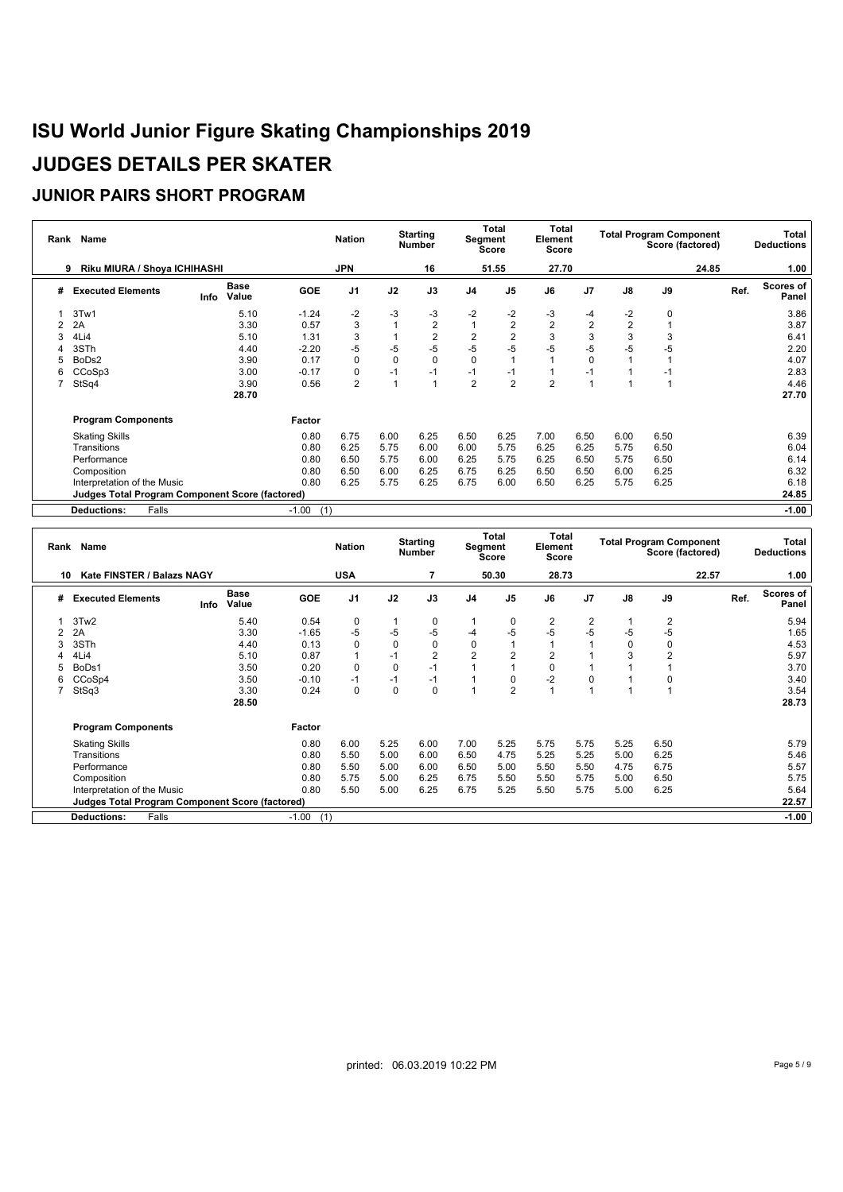| Rank | Name                                                   |      |                      |                | <b>Nation</b>  |             | <b>Starting</b><br><b>Number</b> |                | Total<br>Segment<br><b>Score</b> | Total<br>Element<br><b>Score</b> |                |                | <b>Total Program Component</b><br>Score (factored) |       |      | Total<br><b>Deductions</b> |
|------|--------------------------------------------------------|------|----------------------|----------------|----------------|-------------|----------------------------------|----------------|----------------------------------|----------------------------------|----------------|----------------|----------------------------------------------------|-------|------|----------------------------|
|      | Riku MIURA / Shoya ICHIHASHI<br>9                      |      |                      |                | <b>JPN</b>     |             | 16                               |                | 51.55                            | 27.70                            |                |                |                                                    | 24.85 |      | 1.00                       |
| #    | <b>Executed Elements</b>                               | Info | <b>Base</b><br>Value | <b>GOE</b>     | J <sub>1</sub> | J2          | J3                               | J <sub>4</sub> | J <sub>5</sub>                   | J6                               | J <sub>7</sub> | $\mathsf{J}8$  | J9                                                 |       | Ref. | Scores of<br>Panel         |
|      | 3Tw1                                                   |      | 5.10                 | $-1.24$        | -2             | $-3$        | -3                               | $-2$           | $-2$                             | -3                               | -4             | $-2$           | 0                                                  |       |      | 3.86                       |
|      | 2A                                                     |      | 3.30                 | 0.57           | 3              |             | $\overline{2}$                   | $\mathbf{1}$   | $\overline{2}$                   | $\overline{2}$                   | $\overline{2}$ | $\overline{2}$ |                                                    |       |      | 3.87                       |
|      | 4Li4                                                   |      | 5.10                 | 1.31           | 3              |             | $\sqrt{2}$                       | $\overline{c}$ | $\overline{2}$                   | 3                                | 3              | 3              | 3                                                  |       |      | 6.41                       |
|      | 3STh                                                   |      | 4.40                 | $-2.20$        | $-5$           | $-5$        | $-5$                             | $-5$           | $-5$                             | $-5$                             | $-5$           | $-5$           | $-5$                                               |       |      | 2.20                       |
|      | BoDs2                                                  |      | 3.90                 | 0.17           | $\mathbf 0$    | $\mathbf 0$ | $\mathbf 0$                      | $\mathbf 0$    |                                  |                                  | 0              |                |                                                    |       |      | 4.07                       |
| 6.   | CCoSp3                                                 |      | 3.00                 | $-0.17$        | $\Omega$       | $-1$        | $-1$                             | $-1$           | $-1$                             |                                  |                |                |                                                    |       |      | 2.83                       |
|      | StSq4                                                  |      | 3.90                 | 0.56           | $\overline{2}$ |             |                                  | 2              | $\overline{2}$                   | $\overline{2}$                   |                |                |                                                    |       |      | 4.46                       |
|      |                                                        |      | 28.70                |                |                |             |                                  |                |                                  |                                  |                |                |                                                    |       |      | 27.70                      |
|      | <b>Program Components</b>                              |      |                      | Factor         |                |             |                                  |                |                                  |                                  |                |                |                                                    |       |      |                            |
|      | <b>Skating Skills</b>                                  |      |                      | 0.80           | 6.75           | 6.00        | 6.25                             | 6.50           | 6.25                             | 7.00                             | 6.50           | 6.00           | 6.50                                               |       |      | 6.39                       |
|      | Transitions                                            |      |                      | 0.80           | 6.25           | 5.75        | 6.00                             | 6.00           | 5.75                             | 6.25                             | 6.25           | 5.75           | 6.50                                               |       |      | 6.04                       |
|      | Performance                                            |      |                      | 0.80           | 6.50           | 5.75        | 6.00                             | 6.25           | 5.75                             | 6.25                             | 6.50           | 5.75           | 6.50                                               |       |      | 6.14                       |
|      | Composition                                            |      |                      | 0.80           | 6.50           | 6.00        | 6.25                             | 6.75           | 6.25                             | 6.50                             | 6.50           | 6.00           | 6.25                                               |       |      | 6.32                       |
|      | Interpretation of the Music                            |      |                      | 0.80           | 6.25           | 5.75        | 6.25                             | 6.75           | 6.00                             | 6.50                             | 6.25           | 5.75           | 6.25                                               |       |      | 6.18                       |
|      | <b>Judges Total Program Component Score (factored)</b> |      |                      |                |                |             |                                  |                |                                  |                                  |                |                |                                                    |       |      | 24.85                      |
|      | Falls<br><b>Deductions:</b>                            |      |                      | $-1.00$<br>(1) |                |             |                                  |                |                                  |                                  |                |                |                                                    |       |      | $-1.00$                    |

|   | Rank Name                                              |      |                      |                | <b>Nation</b>  |             | <b>Starting</b><br><b>Number</b> |                | <b>Total</b><br><b>Segment</b><br><b>Score</b> | <b>Total</b><br>Element<br><b>Score</b> |                |      | <b>Total Program Component</b> | Score (factored) |      | Total<br><b>Deductions</b> |
|---|--------------------------------------------------------|------|----------------------|----------------|----------------|-------------|----------------------------------|----------------|------------------------------------------------|-----------------------------------------|----------------|------|--------------------------------|------------------|------|----------------------------|
|   | Kate FINSTER / Balazs NAGY<br>10                       |      |                      |                | <b>USA</b>     |             |                                  |                | 50.30                                          | 28.73                                   |                |      |                                | 22.57            |      | 1.00                       |
| # | <b>Executed Elements</b>                               | Info | <b>Base</b><br>Value | <b>GOE</b>     | J <sub>1</sub> | J2          | J3                               | J <sub>4</sub> | J <sub>5</sub>                                 | J6                                      | J <sub>7</sub> | J8   | J9                             |                  | Ref. | Scores of<br>Panel         |
|   | 3Tw2                                                   |      | 5.40                 | 0.54           | 0              |             | $\mathbf 0$                      |                | 0                                              | 2                                       | 2              |      | $\overline{2}$                 |                  |      | 5.94                       |
|   | 2A                                                     |      | 3.30                 | $-1.65$        | $-5$           | -5          | -5                               | $-4$           | $-5$                                           | $-5$                                    | $-5$           | -5   | $-5$                           |                  |      | 1.65                       |
|   | 3STh                                                   |      | 4.40                 | 0.13           | $\Omega$       | $\Omega$    | $\Omega$                         | 0              |                                                |                                         |                |      | $\Omega$                       |                  |      | 4.53                       |
|   | 4Li4                                                   |      | 5.10                 | 0.87           |                | $-1$        | $\overline{2}$                   | $\overline{2}$ | $\overline{2}$                                 | $\overline{2}$                          |                | 3    | $\overline{2}$                 |                  |      | 5.97                       |
| 5 | BoDs1                                                  |      | 3.50                 | 0.20           | $\Omega$       | $\mathbf 0$ | $-1$                             |                |                                                | $\mathbf 0$                             |                |      |                                |                  |      | 3.70                       |
| 6 | CCoSp4                                                 |      | 3.50                 | $-0.10$        | $-1$           | $-1$        | $-1$                             |                | 0                                              | $-2$                                    | $\mathbf 0$    |      | 0                              |                  |      | 3.40                       |
|   | StSq3                                                  |      | 3.30                 | 0.24           | $\Omega$       | $\Omega$    | $\Omega$                         |                | $\overline{2}$                                 |                                         |                |      |                                |                  |      | 3.54                       |
|   |                                                        |      | 28.50                |                |                |             |                                  |                |                                                |                                         |                |      |                                |                  |      | 28.73                      |
|   | <b>Program Components</b>                              |      |                      | Factor         |                |             |                                  |                |                                                |                                         |                |      |                                |                  |      |                            |
|   | <b>Skating Skills</b>                                  |      |                      | 0.80           | 6.00           | 5.25        | 6.00                             | 7.00           | 5.25                                           | 5.75                                    | 5.75           | 5.25 | 6.50                           |                  |      | 5.79                       |
|   | Transitions                                            |      |                      | 0.80           | 5.50           | 5.00        | 6.00                             | 6.50           | 4.75                                           | 5.25                                    | 5.25           | 5.00 | 6.25                           |                  |      | 5.46                       |
|   | Performance                                            |      |                      | 0.80           | 5.50           | 5.00        | 6.00                             | 6.50           | 5.00                                           | 5.50                                    | 5.50           | 4.75 | 6.75                           |                  |      | 5.57                       |
|   | Composition                                            |      |                      | 0.80           | 5.75           | 5.00        | 6.25                             | 6.75           | 5.50                                           | 5.50                                    | 5.75           | 5.00 | 6.50                           |                  |      | 5.75                       |
|   | Interpretation of the Music                            |      |                      | 0.80           | 5.50           | 5.00        | 6.25                             | 6.75           | 5.25                                           | 5.50                                    | 5.75           | 5.00 | 6.25                           |                  |      | 5.64                       |
|   | <b>Judges Total Program Component Score (factored)</b> |      |                      |                |                |             |                                  |                |                                                |                                         |                |      |                                |                  |      | 22.57                      |
|   | Falls<br><b>Deductions:</b>                            |      |                      | $-1.00$<br>(1) |                |             |                                  |                |                                                |                                         |                |      |                                |                  |      | $-1.00$                    |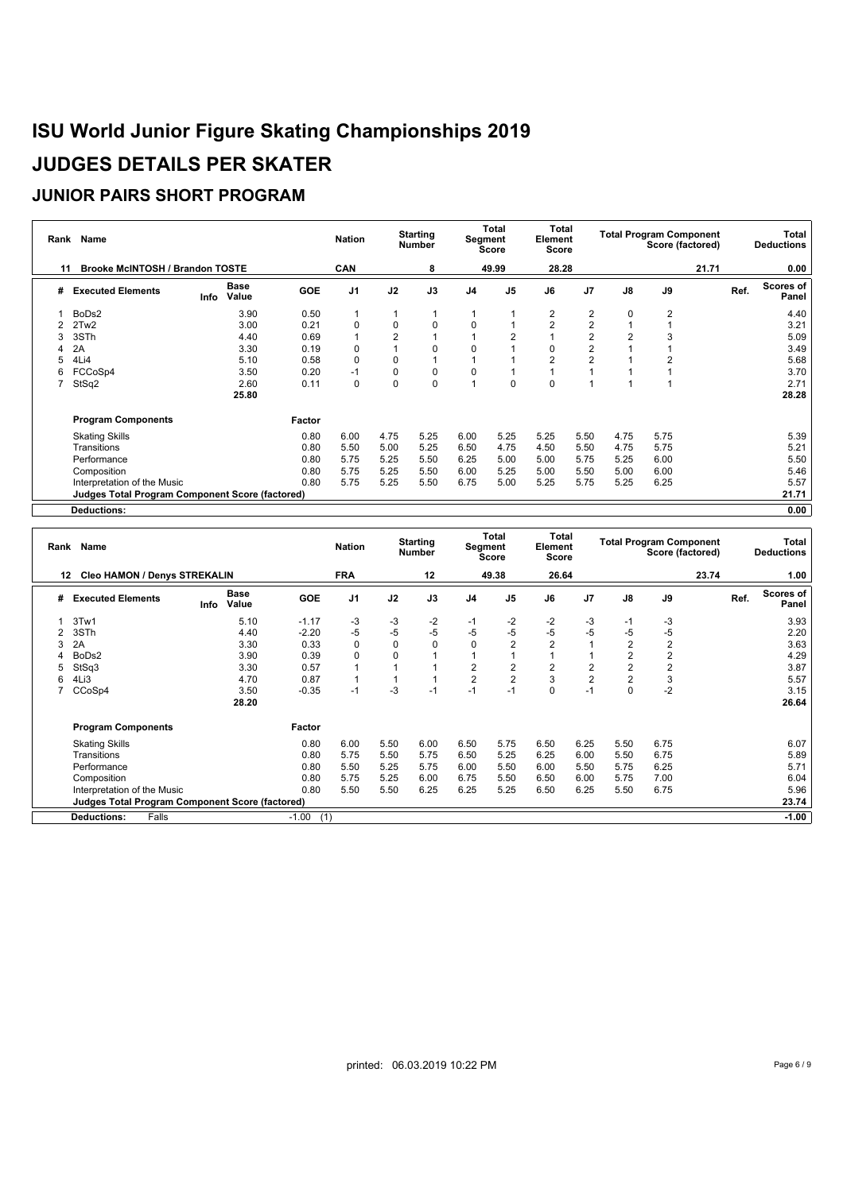| Rank | Name                                                   |                              |            | <b>Nation</b>  |                | <b>Starting</b><br><b>Number</b> |                | Total<br>Segment<br><b>Score</b> | Total<br>Element<br><b>Score</b> |                         |               | <b>Total Program Component</b><br>Score (factored) |       |      | Total<br><b>Deductions</b> |
|------|--------------------------------------------------------|------------------------------|------------|----------------|----------------|----------------------------------|----------------|----------------------------------|----------------------------------|-------------------------|---------------|----------------------------------------------------|-------|------|----------------------------|
| 11   | <b>Brooke McINTOSH / Brandon TOSTE</b>                 |                              |            | <b>CAN</b>     |                | 8                                |                | 49.99                            | 28.28                            |                         |               |                                                    | 21.71 |      | 0.00                       |
| #    | <b>Executed Elements</b>                               | <b>Base</b><br>Value<br>Info | <b>GOE</b> | J <sub>1</sub> | J2             | J3                               | J <sub>4</sub> | J <sub>5</sub>                   | J6                               | J <sub>7</sub>          | $\mathsf{J}8$ | J9                                                 |       | Ref. | Scores of<br>Panel         |
|      | BoDs2                                                  | 3.90                         | 0.50       |                |                |                                  |                |                                  | $\overline{2}$                   | $\overline{2}$          | $\Omega$      | $\overline{2}$                                     |       |      | 4.40                       |
|      | 2Tw <sub>2</sub>                                       | 3.00                         | 0.21       | $\Omega$       | 0              | $\mathbf 0$                      | 0              |                                  | $\overline{2}$                   | $\overline{2}$          |               |                                                    |       |      | 3.21                       |
| 3    | 3STh                                                   | 4.40                         | 0.69       |                | $\overline{2}$ |                                  |                | $\overline{2}$                   |                                  | $\overline{2}$          |               | 3                                                  |       |      | 5.09                       |
|      | 2A                                                     | 3.30                         | 0.19       | $\Omega$       |                | $\mathbf 0$                      | 0              |                                  | 0                                | $\overline{\mathbf{c}}$ |               |                                                    |       |      | 3.49                       |
|      | 4Li4                                                   | 5.10                         | 0.58       | $\Omega$       | 0              |                                  |                |                                  | $\overline{2}$                   | $\overline{2}$          |               |                                                    |       |      | 5.68                       |
| 6    | FCCoSp4                                                | 3.50                         | 0.20       | $-1$           | 0              | 0                                | 0              |                                  |                                  |                         |               |                                                    |       |      | 3.70                       |
|      | StSq2                                                  | 2.60                         | 0.11       | 0              | 0              | $\mathbf 0$                      |                | 0                                | 0                                |                         |               |                                                    |       |      | 2.71                       |
|      |                                                        | 25.80                        |            |                |                |                                  |                |                                  |                                  |                         |               |                                                    |       |      | 28.28                      |
|      | <b>Program Components</b>                              |                              | Factor     |                |                |                                  |                |                                  |                                  |                         |               |                                                    |       |      |                            |
|      | <b>Skating Skills</b>                                  |                              | 0.80       | 6.00           | 4.75           | 5.25                             | 6.00           | 5.25                             | 5.25                             | 5.50                    | 4.75          | 5.75                                               |       |      | 5.39                       |
|      | Transitions                                            |                              | 0.80       | 5.50           | 5.00           | 5.25                             | 6.50           | 4.75                             | 4.50                             | 5.50                    | 4.75          | 5.75                                               |       |      | 5.21                       |
|      | Performance                                            |                              | 0.80       | 5.75           | 5.25           | 5.50                             | 6.25           | 5.00                             | 5.00                             | 5.75                    | 5.25          | 6.00                                               |       |      | 5.50                       |
|      | Composition                                            |                              | 0.80       | 5.75           | 5.25           | 5.50                             | 6.00           | 5.25                             | 5.00                             | 5.50                    | 5.00          | 6.00                                               |       |      | 5.46                       |
|      | Interpretation of the Music                            |                              | 0.80       | 5.75           | 5.25           | 5.50                             | 6.75           | 5.00                             | 5.25                             | 5.75                    | 5.25          | 6.25                                               |       |      | 5.57                       |
|      | <b>Judges Total Program Component Score (factored)</b> |                              |            |                |                |                                  |                |                                  |                                  |                         |               |                                                    |       |      | 21.71                      |
|      | <b>Deductions:</b>                                     |                              |            |                |                |                                  |                |                                  |                                  |                         |               |                                                    |       |      | 0.00                       |

|    | Rank Name                                       |      |                      |                | <b>Nation</b>  |      | <b>Starting</b><br><b>Number</b> | Segment        | Total<br><b>Score</b> | Total<br>Element<br><b>Score</b> |                |                | <b>Total Program Component</b><br>Score (factored) |       |      | Total<br><b>Deductions</b> |
|----|-------------------------------------------------|------|----------------------|----------------|----------------|------|----------------------------------|----------------|-----------------------|----------------------------------|----------------|----------------|----------------------------------------------------|-------|------|----------------------------|
| 12 | <b>Cleo HAMON / Denys STREKALIN</b>             |      |                      |                | <b>FRA</b>     |      | 12                               |                | 49.38                 | 26.64                            |                |                |                                                    | 23.74 |      | 1.00                       |
| #  | <b>Executed Elements</b>                        | Info | <b>Base</b><br>Value | <b>GOE</b>     | J <sub>1</sub> | J2   | J3                               | J <sub>4</sub> | J <sub>5</sub>        | J6                               | J <sub>7</sub> | $\mathsf{J}8$  | J9                                                 |       | Ref. | Scores of<br>Panel         |
|    | 3Tw1                                            |      | 5.10                 | $-1.17$        | -3             | -3   | -2                               | $-1$           | $-2$                  | $-2$                             | -3             | -1             | -3                                                 |       |      | 3.93                       |
|    | 3STh                                            |      | 4.40                 | $-2.20$        | -5             | -5   | $-5$                             | $-5$           | $-5$                  | $-5$                             | $-5$           | -5             | $-5$                                               |       |      | 2.20                       |
|    | 2A                                              |      | 3.30                 | 0.33           | 0              | 0    | 0                                | $\mathbf 0$    | $\overline{2}$        | $\overline{2}$                   |                | $\overline{2}$ | $\overline{2}$                                     |       |      | 3.63                       |
|    | BoDs2                                           |      | 3.90                 | 0.39           | $\Omega$       |      |                                  |                | 1                     |                                  |                | 2              | $\overline{2}$                                     |       |      | 4.29                       |
|    | StSq3                                           |      | 3.30                 | 0.57           |                |      |                                  | 2              | $\overline{2}$        | $\overline{2}$                   | $\overline{2}$ |                | $\overline{2}$                                     |       |      | 3.87                       |
| 6  | 4Li3                                            |      | 4.70                 | 0.87           |                |      |                                  | $\overline{2}$ | $\overline{2}$        | 3                                | $\overline{2}$ |                | 3                                                  |       |      | 5.57                       |
|    | CCoSp4                                          |      | 3.50                 | $-0.35$        | $-1$           | $-3$ | $-1$                             | $-1$           | $-1$                  | $\Omega$                         | $-1$           |                | $-2$                                               |       |      | 3.15                       |
|    |                                                 |      | 28.20                |                |                |      |                                  |                |                       |                                  |                |                |                                                    |       |      | 26.64                      |
|    | <b>Program Components</b>                       |      |                      | Factor         |                |      |                                  |                |                       |                                  |                |                |                                                    |       |      |                            |
|    | <b>Skating Skills</b>                           |      |                      | 0.80           | 6.00           | 5.50 | 6.00                             | 6.50           | 5.75                  | 6.50                             | 6.25           | 5.50           | 6.75                                               |       |      | 6.07                       |
|    | Transitions                                     |      |                      | 0.80           | 5.75           | 5.50 | 5.75                             | 6.50           | 5.25                  | 6.25                             | 6.00           | 5.50           | 6.75                                               |       |      | 5.89                       |
|    | Performance                                     |      |                      | 0.80           | 5.50           | 5.25 | 5.75                             | 6.00           | 5.50                  | 6.00                             | 5.50           | 5.75           | 6.25                                               |       |      | 5.71                       |
|    | Composition                                     |      |                      | 0.80           | 5.75           | 5.25 | 6.00                             | 6.75           | 5.50                  | 6.50                             | 6.00           | 5.75           | 7.00                                               |       |      | 6.04                       |
|    | Interpretation of the Music                     |      |                      | 0.80           | 5.50           | 5.50 | 6.25                             | 6.25           | 5.25                  | 6.50                             | 6.25           | 5.50           | 6.75                                               |       |      | 5.96                       |
|    | Judges Total Program Component Score (factored) |      |                      |                |                |      |                                  |                |                       |                                  |                |                |                                                    |       |      | 23.74                      |
|    | <b>Deductions:</b><br>Falls                     |      |                      | $-1.00$<br>(1) |                |      |                                  |                |                       |                                  |                |                |                                                    |       |      | $-1.00$                    |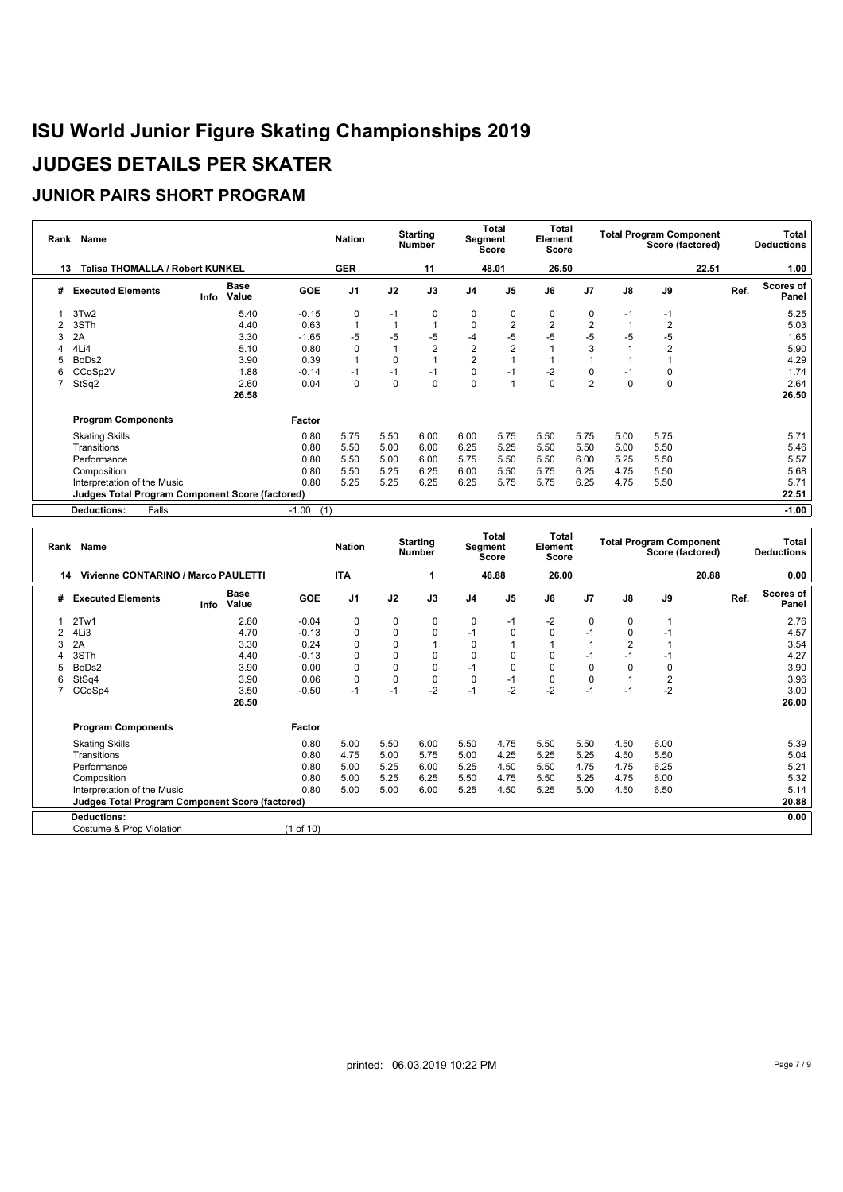| Rank | Name                                                   |      |                      |                | <b>Nation</b>  |          | <b>Starting</b><br><b>Number</b> | Segment                 | Total<br>Score | <b>Total</b><br>Element<br><b>Score</b> |                |          | <b>Total Program Component</b><br>Score (factored) |       |      | Total<br><b>Deductions</b> |
|------|--------------------------------------------------------|------|----------------------|----------------|----------------|----------|----------------------------------|-------------------------|----------------|-----------------------------------------|----------------|----------|----------------------------------------------------|-------|------|----------------------------|
| 13   | <b>Talisa THOMALLA / Robert KUNKEL</b>                 |      |                      |                | <b>GER</b>     |          | 11                               |                         | 48.01          | 26.50                                   |                |          |                                                    | 22.51 |      | 1.00                       |
| #    | <b>Executed Elements</b>                               | Info | <b>Base</b><br>Value | <b>GOE</b>     | J <sub>1</sub> | J2       | J3                               | J <sub>4</sub>          | J <sub>5</sub> | J6                                      | J <sub>7</sub> | J8       | J9                                                 |       | Ref. | <b>Scores of</b><br>Panel  |
|      | 3Tw2                                                   |      | 5.40                 | $-0.15$        | 0              | $-1$     | $\mathbf 0$                      | 0                       | 0              | 0                                       | $\mathbf 0$    | $-1$     | $-1$                                               |       |      | 5.25                       |
|      | 3STh                                                   |      | 4.40                 | 0.63           |                |          |                                  | 0                       | $\overline{2}$ | $\overline{2}$                          | $\overline{2}$ |          | 2                                                  |       |      | 5.03                       |
|      | 2A                                                     |      | 3.30                 | $-1.65$        | -5             | $-5$     | $-5$                             | -4                      | $-5$           | $-5$                                    | -5             | -5       | $-5$                                               |       |      | 1.65                       |
|      | 4Li4                                                   |      | 5.10                 | 0.80           | 0              |          | $\overline{2}$                   | $\overline{\mathbf{c}}$ | $\overline{2}$ |                                         | 3              |          | $\overline{2}$                                     |       |      | 5.90                       |
| 5    | BoDs2                                                  |      | 3.90                 | 0.39           |                |          |                                  | $\overline{2}$          |                |                                         |                |          |                                                    |       |      | 4.29                       |
| 6    | CCoSp2V                                                |      | 1.88                 | $-0.14$        | $-1$           | $-1$     | $-1$                             | 0                       | $-1$           | $-2$                                    | 0              | $-1$     | 0                                                  |       |      | 1.74                       |
|      | StSq2                                                  |      | 2.60                 | 0.04           | $\Omega$       | $\Omega$ | $\mathbf 0$                      | $\mathbf 0$             | $\overline{1}$ | $\Omega$                                | $\overline{2}$ | $\Omega$ | $\Omega$                                           |       |      | 2.64                       |
|      |                                                        |      | 26.58                |                |                |          |                                  |                         |                |                                         |                |          |                                                    |       |      | 26.50                      |
|      | <b>Program Components</b>                              |      |                      | Factor         |                |          |                                  |                         |                |                                         |                |          |                                                    |       |      |                            |
|      | <b>Skating Skills</b>                                  |      |                      | 0.80           | 5.75           | 5.50     | 6.00                             | 6.00                    | 5.75           | 5.50                                    | 5.75           | 5.00     | 5.75                                               |       |      | 5.71                       |
|      | Transitions                                            |      |                      | 0.80           | 5.50           | 5.00     | 6.00                             | 6.25                    | 5.25           | 5.50                                    | 5.50           | 5.00     | 5.50                                               |       |      | 5.46                       |
|      | Performance                                            |      |                      | 0.80           | 5.50           | 5.00     | 6.00                             | 5.75                    | 5.50           | 5.50                                    | 6.00           | 5.25     | 5.50                                               |       |      | 5.57                       |
|      | Composition                                            |      |                      | 0.80           | 5.50           | 5.25     | 6.25                             | 6.00                    | 5.50           | 5.75                                    | 6.25           | 4.75     | 5.50                                               |       |      | 5.68                       |
|      | Interpretation of the Music                            |      |                      | 0.80           | 5.25           | 5.25     | 6.25                             | 6.25                    | 5.75           | 5.75                                    | 6.25           | 4.75     | 5.50                                               |       |      | 5.71                       |
|      | <b>Judges Total Program Component Score (factored)</b> |      |                      |                |                |          |                                  |                         |                |                                         |                |          |                                                    |       |      | 22.51                      |
|      | Falls<br><b>Deductions:</b>                            |      |                      | $-1.00$<br>(1) |                |          |                                  |                         |                |                                         |                |          |                                                    |       |      | $-1.00$                    |

|    | Name<br>Rank                                    |      |                      |            | <b>Starting</b><br><b>Nation</b><br><b>Number</b> |             |             | Total<br>Segment<br><b>Score</b> |                | <b>Total</b><br>Element<br>Score |                | <b>Total Program Component</b><br>Score (factored) |                |       | Total<br><b>Deductions</b> |                    |
|----|-------------------------------------------------|------|----------------------|------------|---------------------------------------------------|-------------|-------------|----------------------------------|----------------|----------------------------------|----------------|----------------------------------------------------|----------------|-------|----------------------------|--------------------|
| 14 | Vivienne CONTARINO / Marco PAULETTI             |      |                      |            | <b>ITA</b>                                        |             |             |                                  | 46.88          | 26.00                            |                |                                                    |                | 20.88 |                            | 0.00               |
| #  | <b>Executed Elements</b>                        | Info | <b>Base</b><br>Value | <b>GOE</b> | J <sub>1</sub>                                    | J2          | J3          | J <sub>4</sub>                   | J <sub>5</sub> | J6                               | J <sub>7</sub> | J8                                                 | J9             |       | Ref.                       | Scores of<br>Panel |
|    | 2Tw1                                            |      | 2.80                 | $-0.04$    | 0                                                 | 0           | 0           | 0                                | -1             | $-2$                             | 0              | 0                                                  |                |       |                            | 2.76               |
|    | 4Li3                                            |      | 4.70                 | $-0.13$    | $\Omega$                                          | 0           | $\mathbf 0$ | $-1$                             | $\mathbf 0$    | 0                                | $-1$           | 0                                                  | $-1$           |       |                            | 4.57               |
|    | 2A                                              |      | 3.30                 | 0.24       | $\Omega$                                          | $\Omega$    |             | 0                                |                |                                  |                |                                                    |                |       |                            | 3.54               |
|    | 3STh                                            |      | 4.40                 | $-0.13$    | $\Omega$                                          | 0           | $\mathbf 0$ | 0                                | 0              | 0                                | $-1$           | -1                                                 | $-1$           |       |                            | 4.27               |
|    | BoDs2                                           |      | 3.90                 | 0.00       | $\Omega$                                          | 0           | 0           | $-1$                             | $\mathbf 0$    | 0                                | $\mathbf 0$    |                                                    | 0              |       |                            | 3.90               |
|    | StSq4                                           |      | 3.90                 | 0.06       | 0                                                 | $\mathbf 0$ | $\mathbf 0$ | $\mathbf 0$                      | $-1$           | $\mathbf 0$                      | $\mathbf 0$    |                                                    | $\overline{2}$ |       |                            | 3.96               |
|    | CCoSp4                                          |      | 3.50                 | $-0.50$    | $-1$                                              | $-1$        | $-2$        | $-1$                             | $-2$           | $-2$                             | $-1$           | $-1$                                               | $-2$           |       |                            | 3.00               |
|    |                                                 |      | 26.50                |            |                                                   |             |             |                                  |                |                                  |                |                                                    |                |       |                            | 26.00              |
|    | <b>Program Components</b>                       |      |                      | Factor     |                                                   |             |             |                                  |                |                                  |                |                                                    |                |       |                            |                    |
|    | <b>Skating Skills</b>                           |      |                      | 0.80       | 5.00                                              | 5.50        | 6.00        | 5.50                             | 4.75           | 5.50                             | 5.50           | 4.50                                               | 6.00           |       |                            | 5.39               |
|    | Transitions                                     |      |                      | 0.80       | 4.75                                              | 5.00        | 5.75        | 5.00                             | 4.25           | 5.25                             | 5.25           | 4.50                                               | 5.50           |       |                            | 5.04               |
|    | Performance                                     |      |                      | 0.80       | 5.00                                              | 5.25        | 6.00        | 5.25                             | 4.50           | 5.50                             | 4.75           | 4.75                                               | 6.25           |       |                            | 5.21               |
|    | Composition                                     |      |                      | 0.80       | 5.00                                              | 5.25        | 6.25        | 5.50                             | 4.75           | 5.50                             | 5.25           | 4.75                                               | 6.00           |       |                            | 5.32               |
|    | Interpretation of the Music                     |      |                      | 0.80       | 5.00                                              | 5.00        | 6.00        | 5.25                             | 4.50           | 5.25                             | 5.00           | 4.50                                               | 6.50           |       |                            | 5.14               |
|    | Judges Total Program Component Score (factored) |      |                      |            |                                                   |             |             |                                  |                |                                  |                |                                                    |                |       |                            | 20.88              |
|    | <b>Deductions:</b>                              |      |                      |            |                                                   |             |             |                                  |                |                                  |                |                                                    |                |       |                            | 0.00               |
|    | Costume & Prop Violation                        |      |                      | (1 of 10)  |                                                   |             |             |                                  |                |                                  |                |                                                    |                |       |                            |                    |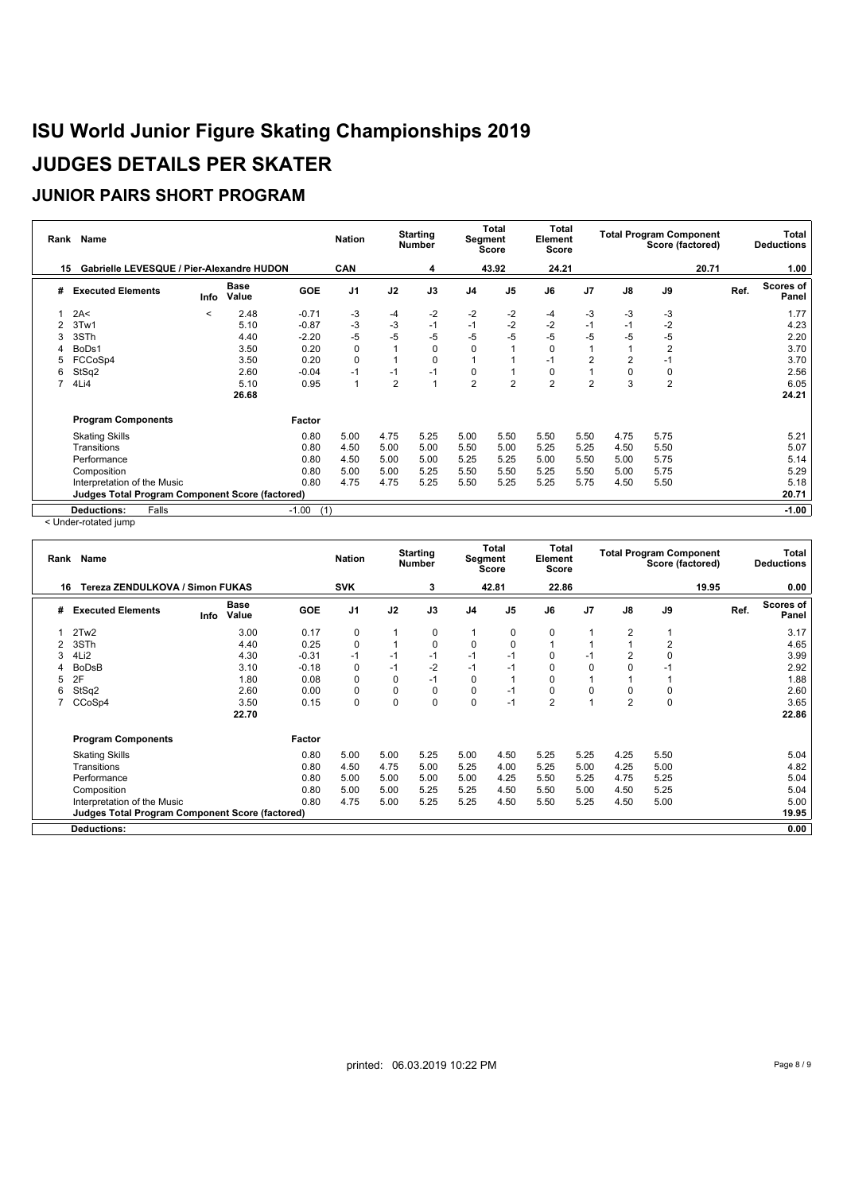### **JUNIOR PAIRS SHORT PROGRAM**

|   | Rank Name                                        |         |                      |                | <b>Nation</b>  |                | <b>Starting</b><br><b>Number</b> | Segment        | <b>Total</b><br>Score | Total<br>Element<br><b>Score</b> |                |          | <b>Total Program Component</b><br>Score (factored) |       |      | Total<br><b>Deductions</b> |
|---|--------------------------------------------------|---------|----------------------|----------------|----------------|----------------|----------------------------------|----------------|-----------------------|----------------------------------|----------------|----------|----------------------------------------------------|-------|------|----------------------------|
|   | Gabrielle LEVESQUE / Pier-Alexandre HUDON<br>15. |         |                      |                | <b>CAN</b>     |                | 4                                |                | 43.92                 | 24.21                            |                |          |                                                    | 20.71 |      | 1.00                       |
| # | <b>Executed Elements</b>                         | Info    | <b>Base</b><br>Value | <b>GOE</b>     | J <sub>1</sub> | J2             | J3                               | J <sub>4</sub> | J <sub>5</sub>        | J6                               | J <sub>7</sub> | J8       | J9                                                 |       | Ref. | <b>Scores of</b><br>Panel  |
|   | 2A<                                              | $\,<\,$ | 2.48                 | $-0.71$        | -3             | -4             | -2                               | $-2$           | -2                    | -4                               | -3             | -3       | -3                                                 |       |      | 1.77                       |
|   | 3Tw1                                             |         | 5.10                 | $-0.87$        | -3             | -3             | $-1$                             | $-1$           | $-2$                  | $-2$                             | $-1$           | $-1$     | $-2$                                               |       |      | 4.23                       |
|   | 3STh                                             |         | 4.40                 | $-2.20$        | $-5$           | -5             | -5                               | -5             | $-5$                  | -5                               | -5             | -5       | -5                                                 |       |      | 2.20                       |
|   | BoDs1                                            |         | 3.50                 | 0.20           | $\Omega$       |                | 0                                | $\Omega$       |                       | $\Omega$                         |                |          | $\overline{2}$                                     |       |      | 3.70                       |
|   | FCCoSp4                                          |         | 3.50                 | 0.20           | $\Omega$       |                | $\Omega$                         |                |                       | $-1$                             | $\overline{2}$ | 2        |                                                    |       |      | 3.70                       |
|   | StSq2                                            |         | 2.60                 | $-0.04$        |                | $-1$           | $-1$                             | 0              |                       | 0                                |                | $\Omega$ | O                                                  |       |      | 2.56                       |
|   | 4Li4                                             |         | 5.10                 | 0.95           |                | $\overline{2}$ | $\overline{1}$                   | $\overline{2}$ | $\overline{2}$        | $\overline{2}$                   | $\overline{2}$ | 3        | $\overline{2}$                                     |       |      | 6.05                       |
|   |                                                  |         | 26.68                |                |                |                |                                  |                |                       |                                  |                |          |                                                    |       |      | 24.21                      |
|   | <b>Program Components</b>                        |         |                      | Factor         |                |                |                                  |                |                       |                                  |                |          |                                                    |       |      |                            |
|   | <b>Skating Skills</b>                            |         |                      | 0.80           | 5.00           | 4.75           | 5.25                             | 5.00           | 5.50                  | 5.50                             | 5.50           | 4.75     | 5.75                                               |       |      | 5.21                       |
|   | Transitions                                      |         |                      | 0.80           | 4.50           | 5.00           | 5.00                             | 5.50           | 5.00                  | 5.25                             | 5.25           | 4.50     | 5.50                                               |       |      | 5.07                       |
|   | Performance                                      |         |                      | 0.80           | 4.50           | 5.00           | 5.00                             | 5.25           | 5.25                  | 5.00                             | 5.50           | 5.00     | 5.75                                               |       |      | 5.14                       |
|   | Composition                                      |         |                      | 0.80           | 5.00           | 5.00           | 5.25                             | 5.50           | 5.50                  | 5.25                             | 5.50           | 5.00     | 5.75                                               |       |      | 5.29                       |
|   | Interpretation of the Music                      |         |                      | 0.80           | 4.75           | 4.75           | 5.25                             | 5.50           | 5.25                  | 5.25                             | 5.75           | 4.50     | 5.50                                               |       |      | 5.18                       |
|   | Judges Total Program Component Score (factored)  |         |                      |                |                |                |                                  |                |                       |                                  |                |          |                                                    |       |      | 20.71                      |
|   | Falls<br><b>Deductions:</b>                      |         |                      | $-1.00$<br>(1) |                |                |                                  |                |                       |                                  |                |          |                                                    |       |      | $-1.00$                    |

< Under-rotated jump

|    | Rank Name                                       |                              | <b>Nation</b> |                | <b>Starting</b><br><b>Number</b> |             | Total<br>Segment<br>Score |                | Total<br>Element<br>Score | <b>Total Program Component</b><br>Score (factored) |                |                |       | Total<br><b>Deductions</b> |                    |
|----|-------------------------------------------------|------------------------------|---------------|----------------|----------------------------------|-------------|---------------------------|----------------|---------------------------|----------------------------------------------------|----------------|----------------|-------|----------------------------|--------------------|
| 16 | Tereza ZENDULKOVA / Simon FUKAS                 |                              |               | <b>SVK</b>     |                                  | 3           |                           | 42.81          | 22.86                     |                                                    |                |                | 19.95 |                            | 0.00               |
| #  | <b>Executed Elements</b>                        | <b>Base</b><br>Value<br>Info | <b>GOE</b>    | J <sub>1</sub> | J2                               | J3          | J <sub>4</sub>            | J <sub>5</sub> | J6                        | J <sub>7</sub>                                     | $\mathsf{J}8$  | J9             |       | Ref.                       | Scores of<br>Panel |
|    | 2Tw <sub>2</sub>                                | 3.00                         | 0.17          | 0              |                                  | 0           |                           | 0              | 0                         |                                                    | 2              |                |       |                            | 3.17               |
|    | 3STh                                            | 4.40                         | 0.25          | $\Omega$       |                                  | $\mathbf 0$ | $\mathbf 0$               | 0              |                           |                                                    |                | $\overline{2}$ |       |                            | 4.65               |
|    | 4Li2                                            | 4.30                         | $-0.31$       | $-1$           | $-1$                             | $-1$        | $-1$                      | $-1$           | 0                         | $-1$                                               |                | $\mathbf 0$    |       |                            | 3.99               |
|    | <b>BoDsB</b>                                    | 3.10                         | $-0.18$       | 0              | $-1$                             | $-2$        | $-1$                      | $-1$           | 0                         | 0                                                  |                | $-1$           |       |                            | 2.92               |
|    | 2F                                              | 1.80                         | 0.08          | 0              | 0                                | $-1$        | 0                         | 1              |                           |                                                    |                |                |       |                            | 1.88               |
| 6  | StSq2                                           | 2.60                         | 0.00          | 0              | 0                                | 0           | $\mathbf 0$               | $-1$           | 0                         | 0                                                  |                | 0              |       |                            | 2.60               |
|    | CCoSp4                                          | 3.50                         | 0.15          | $\Omega$       | $\Omega$                         | $\mathbf 0$ | $\mathbf 0$               | $-1$           | 2                         |                                                    | $\overline{2}$ | $\mathbf 0$    |       |                            | 3.65               |
|    |                                                 | 22.70                        |               |                |                                  |             |                           |                |                           |                                                    |                |                |       |                            | 22.86              |
|    | <b>Program Components</b>                       |                              | Factor        |                |                                  |             |                           |                |                           |                                                    |                |                |       |                            |                    |
|    | <b>Skating Skills</b>                           |                              | 0.80          | 5.00           | 5.00                             | 5.25        | 5.00                      | 4.50           | 5.25                      | 5.25                                               | 4.25           | 5.50           |       |                            | 5.04               |
|    | Transitions                                     |                              | 0.80          | 4.50           | 4.75                             | 5.00        | 5.25                      | 4.00           | 5.25                      | 5.00                                               | 4.25           | 5.00           |       |                            | 4.82               |
|    | Performance                                     |                              | 0.80          | 5.00           | 5.00                             | 5.00        | 5.00                      | 4.25           | 5.50                      | 5.25                                               | 4.75           | 5.25           |       |                            | 5.04               |
|    | Composition                                     |                              | 0.80          | 5.00           | 5.00                             | 5.25        | 5.25                      | 4.50           | 5.50                      | 5.00                                               | 4.50           | 5.25           |       |                            | 5.04               |
|    | Interpretation of the Music                     |                              | 0.80          | 4.75           | 5.00                             | 5.25        | 5.25                      | 4.50           | 5.50                      | 5.25                                               | 4.50           | 5.00           |       |                            | 5.00               |
|    | Judges Total Program Component Score (factored) |                              |               |                |                                  |             |                           |                |                           |                                                    |                |                |       |                            | 19.95              |
|    | <b>Deductions:</b>                              |                              |               |                |                                  |             |                           |                |                           |                                                    |                |                |       |                            | 0.00               |